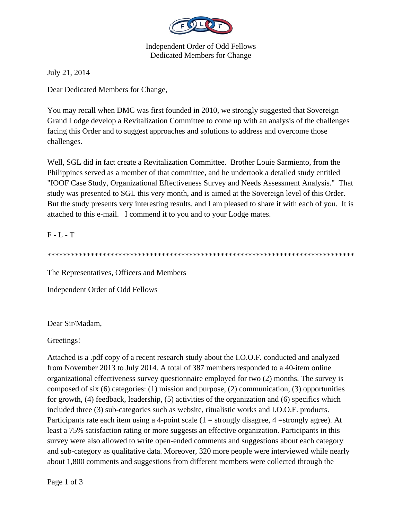

Independent Order of Odd Fellows Dedicated Members for Change

July 21, 2014

Dear Dedicated Members for Change,

You may recall when DMC was first founded in 2010, we strongly suggested that Sovereign Grand Lodge develop a Revitalization Committee to come up with an analysis of the challenges facing this Order and to suggest approaches and solutions to address and overcome those challenges.

Well, SGL did in fact create a Revitalization Committee. Brother Louie Sarmiento, from the Philippines served as a member of that committee, and he undertook a detailed study entitled "IOOF Case Study, Organizational Effectiveness Survey and Needs Assessment Analysis." That study was presented to SGL this very month, and is aimed at the Sovereign level of this Order. But the study presents very interesting results, and I am pleased to share it with each of you. It is attached to this e-mail. I commend it to you and to your Lodge mates.

## F - L - T

\*\*\*\*\*\*\*\*\*\*\*\*\*\*\*\*\*\*\*\*\*\*\*\*\*\*\*\*\*\*\*\*\*\*\*\*\*\*\*\*\*\*\*\*\*\*\*\*\*\*\*\*\*\*\*\*\*\*\*\*\*\*\*\*\*\*\*\*\*\*\*\*\*\*\*\*\*\*

The Representatives, Officers and Members

Independent Order of Odd Fellows

Dear Sir/Madam,

Greetings!

Attached is a .pdf copy of a recent research study about the I.O.O.F. conducted and analyzed from November 2013 to July 2014. A total of 387 members responded to a 40-item online organizational effectiveness survey questionnaire employed for two (2) months. The survey is composed of six (6) categories: (1) mission and purpose, (2) communication, (3) opportunities for growth, (4) feedback, leadership, (5) activities of the organization and (6) specifics which included three (3) sub-categories such as website, ritualistic works and I.O.O.F. products. Participants rate each item using a 4-point scale  $(1 =$  strongly disagree,  $4 =$ strongly agree). At least a 75% satisfaction rating or more suggests an effective organization. Participants in this survey were also allowed to write open-ended comments and suggestions about each category and sub-category as qualitative data. Moreover, 320 more people were interviewed while nearly about 1,800 comments and suggestions from different members were collected through the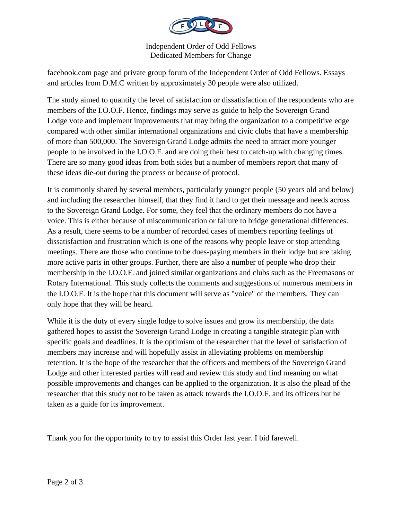

Independent Order of Odd Fellows Dedicated Members for Change

facebook.com page and private group forum of the Independent Order of Odd Fellows. Essays and articles from D.M.C written by approximately 30 people were also utilized.

The study aimed to quantify the level of satisfaction or dissatisfaction of the respondents who are members of the I.O.O.F. Hence, findings may serve as guide to help the Sovereign Grand Lodge vote and implement improvements that may bring the organization to a competitive edge compared with other similar international organizations and civic clubs that have a membership of more than 500,000. The Sovereign Grand Lodge admits the need to attract more younger people to be involved in the I.O.O.F. and are doing their best to catch-up with changing times. There are so many good ideas from both sides but a number of members report that many of these ideas die-out during the process or because of protocol.

It is commonly shared by several members, particularly younger people (50 years old and below) and including the researcher himself, that they find it hard to get their message and needs across to the Sovereign Grand Lodge. For some, they feel that the ordinary members do not have a voice. This is either because of miscommunication or failure to bridge generational differences. As a result, there seems to be a number of recorded cases of members reporting feelings of dissatisfaction and frustration which is one of the reasons why people leave or stop attending meetings. There are those who continue to be dues-paying members in their lodge but are taking more active parts in other groups. Further, there are also a number of people who drop their membership in the I.O.O.F. and joined similar organizations and clubs such as the Freemasons or Rotary International. This study collects the comments and suggestions of numerous members in the I.O.O.F. It is the hope that this document will serve as "voice" of the members. They can only hope that they will be heard.

While it is the duty of every single lodge to solve issues and grow its membership, the data gathered hopes to assist the Sovereign Grand Lodge in creating a tangible strategic plan with specific goals and deadlines. It is the optimism of the researcher that the level of satisfaction of members may increase and will hopefully assist in alleviating problems on membership retention. It is the hope of the researcher that the officers and members of the Sovereign Grand Lodge and other interested parties will read and review this study and find meaning on what possible improvements and changes can be applied to the organization. It is also the plead of the researcher that this study not to be taken as attack towards the I.O.O.F. and its officers but be taken as a guide for its improvement.

Thank you for the opportunity to try to assist this Order last year. I bid farewell.